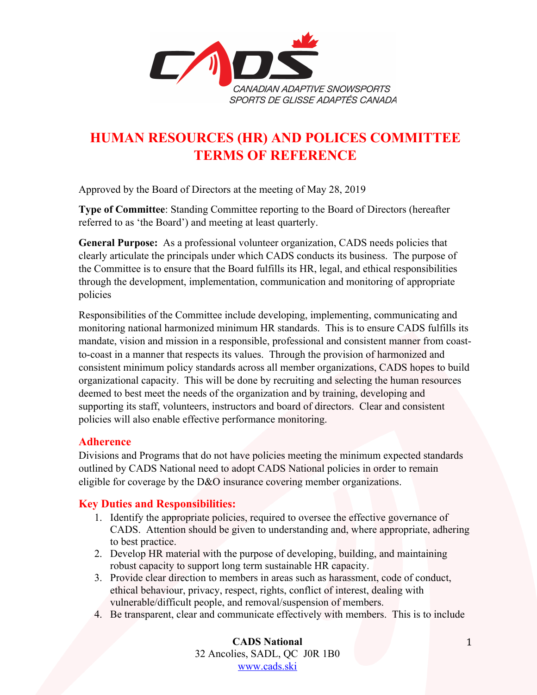

# **HUMAN RESOURCES (HR) AND POLICES COMMITTEE TERMS OF REFERENCE**

Approved by the Board of Directors at the meeting of May 28, 2019

**Type of Committee**: Standing Committee reporting to the Board of Directors (hereafter referred to as 'the Board') and meeting at least quarterly.

**General Purpose:** As a professional volunteer organization, CADS needs policies that clearly articulate the principals under which CADS conducts its business. The purpose of the Committee is to ensure that the Board fulfills its HR, legal, and ethical responsibilities through the development, implementation, communication and monitoring of appropriate policies

Responsibilities of the Committee include developing, implementing, communicating and monitoring national harmonized minimum HR standards. This is to ensure CADS fulfills its mandate, vision and mission in a responsible, professional and consistent manner from coastto-coast in a manner that respects its values. Through the provision of harmonized and consistent minimum policy standards across all member organizations, CADS hopes to build organizational capacity. This will be done by recruiting and selecting the human resources deemed to best meet the needs of the organization and by training, developing and supporting its staff, volunteers, instructors and board of directors. Clear and consistent policies will also enable effective performance monitoring.

### **Adherence**

Divisions and Programs that do not have policies meeting the minimum expected standards outlined by CADS National need to adopt CADS National policies in order to remain eligible for coverage by the D&O insurance covering member organizations.

## **Key Duties and Responsibilities:**

- 1. Identify the appropriate policies, required to oversee the effective governance of CADS. Attention should be given to understanding and, where appropriate, adhering to best practice.
- 2. Develop HR material with the purpose of developing, building, and maintaining robust capacity to support long term sustainable HR capacity.
- 3. Provide clear direction to members in areas such as harassment, code of conduct, ethical behaviour, privacy, respect, rights, conflict of interest, dealing with vulnerable/difficult people, and removal/suspension of members.
- 4. Be transparent, clear and communicate effectively with members. This is to include

**CADS National**  32 Ancolies, SADL, QC J0R 1B0 www.cads.ski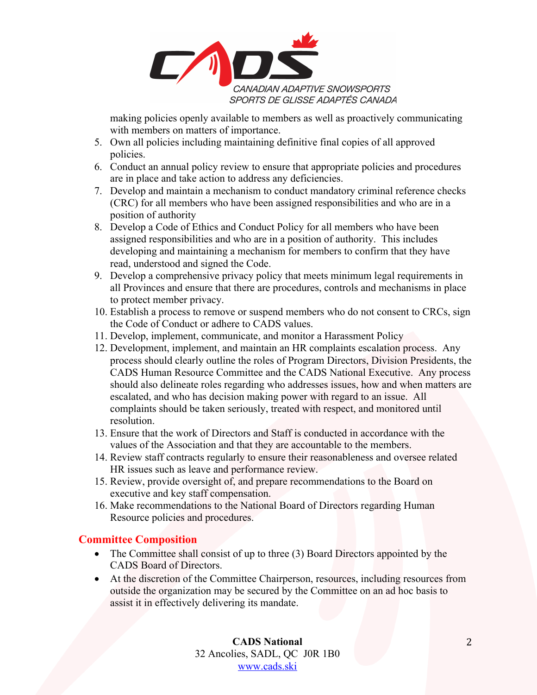

making policies openly available to members as well as proactively communicating with members on matters of importance.

- 5. Own all policies including maintaining definitive final copies of all approved policies.
- 6. Conduct an annual policy review to ensure that appropriate policies and procedures are in place and take action to address any deficiencies.
- 7. Develop and maintain a mechanism to conduct mandatory criminal reference checks (CRC) for all members who have been assigned responsibilities and who are in a position of authority
- 8. Develop a Code of Ethics and Conduct Policy for all members who have been assigned responsibilities and who are in a position of authority. This includes developing and maintaining a mechanism for members to confirm that they have read, understood and signed the Code.
- 9. Develop a comprehensive privacy policy that meets minimum legal requirements in all Provinces and ensure that there are procedures, controls and mechanisms in place to protect member privacy.
- 10. Establish a process to remove or suspend members who do not consent to CRCs, sign the Code of Conduct or adhere to CADS values.
- 11. Develop, implement, communicate, and monitor a Harassment Policy
- 12. Development, implement, and maintain an HR complaints escalation process. Any process should clearly outline the roles of Program Directors, Division Presidents, the CADS Human Resource Committee and the CADS National Executive. Any process should also delineate roles regarding who addresses issues, how and when matters are escalated, and who has decision making power with regard to an issue. All complaints should be taken seriously, treated with respect, and monitored until resolution.
- 13. Ensure that the work of Directors and Staff is conducted in accordance with the values of the Association and that they are accountable to the members.
- 14. Review staff contracts regularly to ensure their reasonableness and oversee related HR issues such as leave and performance review.
- 15. Review, provide oversight of, and prepare recommendations to the Board on executive and key staff compensation.
- 16. Make recommendations to the National Board of Directors regarding Human Resource policies and procedures.

## **Committee Composition**

- The Committee shall consist of up to three (3) Board Directors appointed by the CADS Board of Directors.
- At the discretion of the Committee Chairperson, resources, including resources from outside the organization may be secured by the Committee on an ad hoc basis to assist it in effectively delivering its mandate.